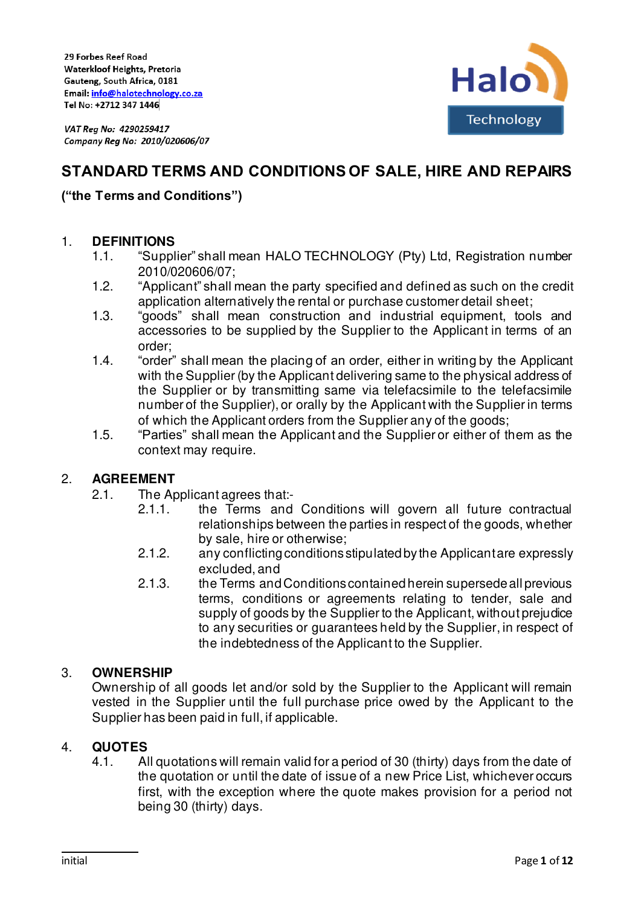

# **STANDARD TERMS AND CONDITIONS OF SALE, HIRE AND REPAIRS**

# **("the Terms and Conditions")**

### 1. **DEFINITIONS**

- 1.1. "Supplier" shall mean HALO TECHNOLOGY (Pty) Ltd, Registration number 2010/020606/07;
- 1.2. "Applicant" shall mean the party specified and defined as such on the credit application alternatively the rental or purchase customer detail sheet;
- 1.3. "goods" shall mean construction and industrial equipment, tools and accessories to be supplied by the Supplier to the Applicant in terms of an order;
- 1.4. "order" shall mean the placing of an order, either in writing by the Applicant with the Supplier (by the Applicant delivering same to the physical address of the Supplier or by transmitting same via telefacsimile to the telefacsimile number of the Supplier), or orally by the Applicant with the Supplier in terms of which the Applicant orders from the Supplier any of the goods;
- 1.5. "Parties" shall mean the Applicant and the Supplier or either of them as the context may require.

#### 2. **AGREEMENT**

- 2.1. The Applicant agrees that:-
	- 2.1.1. the Terms and Conditions will govern all future contractual relationships between the parties in respect of the goods, whether by sale, hire or otherwise;
	- 2.1.2. any conflicting conditions stipulated by the Applicant are expressly excluded, and
	- 2.1.3. the Terms and Conditions contained herein supersede all previous terms, conditions or agreements relating to tender, sale and supply of goods by the Supplier to the Applicant, without prejudice to any securities or guarantees held by the Supplier, in respect of the indebtedness of the Applicant to the Supplier.

## 3. **OWNERSHIP**

Ownership of all goods let and/or sold by the Supplier to the Applicant will remain vested in the Supplier until the full purchase price owed by the Applicant to the Supplier has been paid in full, if applicable.

## 4. **QUOTES**

4.1. All quotations will remain valid for a period of 30 (thirty) days from the date of the quotation or until the date of issue of a new Price List, whichever occurs first, with the exception where the quote makes provision for a period not being 30 (thirty) days.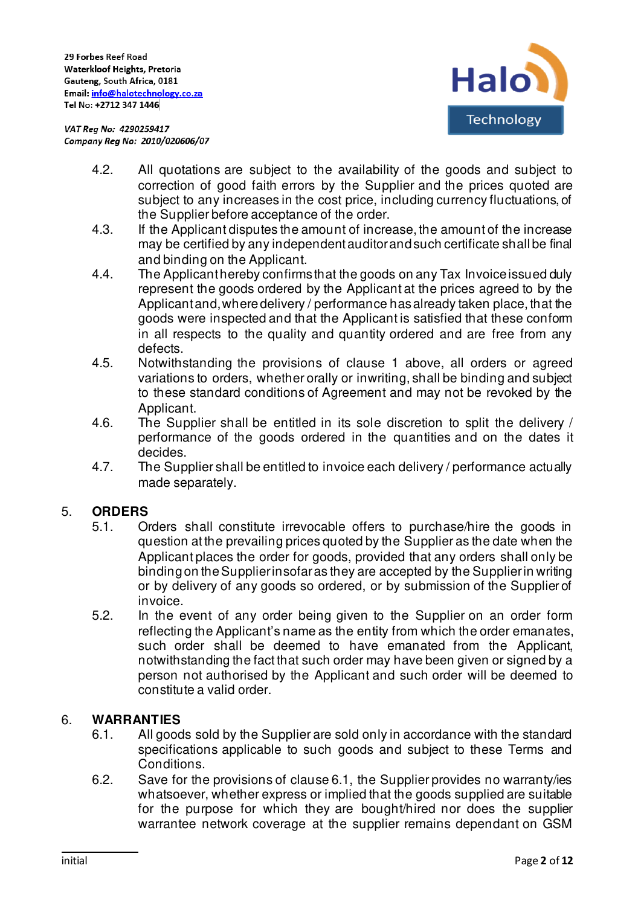

- 4.2. All quotations are subject to the availability of the goods and subject to correction of good faith errors by the Supplier and the prices quoted are subject to any increases in the cost price, including currency fluctuations, of the Supplier before acceptance of the order.
- 4.3. If the Applicant disputes the amount of increase, the amount of the increase may be certified by any independent auditor and such certificate shall be final and binding on the Applicant.
- 4.4. The Applicant hereby confirms that the goods on any Tax Invoice issued duly represent the goods ordered by the Applicant at the prices agreed to by the Applicant and, where delivery / performance has already taken place, that the goods were inspected and that the Applicant is satisfied that these conform in all respects to the quality and quantity ordered and are free from any defects.
- 4.5. Notwithstanding the provisions of clause 1 above, all orders or agreed variations to orders, whether orally or inwriting, shall be binding and subject to these standard conditions of Agreement and may not be revoked by the Applicant.
- 4.6. The Supplier shall be entitled in its sole discretion to split the delivery / performance of the goods ordered in the quantities and on the dates it decides.
- 4.7. The Supplier shall be entitled to invoice each delivery / performance actually made separately.

## 5. **ORDERS**

- 5.1. Orders shall constitute irrevocable offers to purchase/hire the goods in question at the prevailing prices quoted by the Supplier as the date when the Applicant places the order for goods, provided that any orders shall only be binding on the Supplier insofar as they are accepted by the Supplier in writing or by delivery of any goods so ordered, or by submission of the Supplier of invoice.
- 5.2. In the event of any order being given to the Supplier on an order form reflecting the Applicant's name as the entity from which the order emanates, such order shall be deemed to have emanated from the Applicant, notwithstanding the fact that such order may have been given or signed by a person not authorised by the Applicant and such order will be deemed to constitute a valid order.

## 6. **WARRANTIES**

- 6.1. All goods sold by the Supplier are sold only in accordance with the standard specifications applicable to such goods and subject to these Terms and Conditions.
- 6.2. Save for the provisions of clause 6.1, the Supplier provides no warranty/ies whatsoever, whether express or implied that the goods supplied are suitable for the purpose for which they are bought/hired nor does the supplier warrantee network coverage at the supplier remains dependant on GSM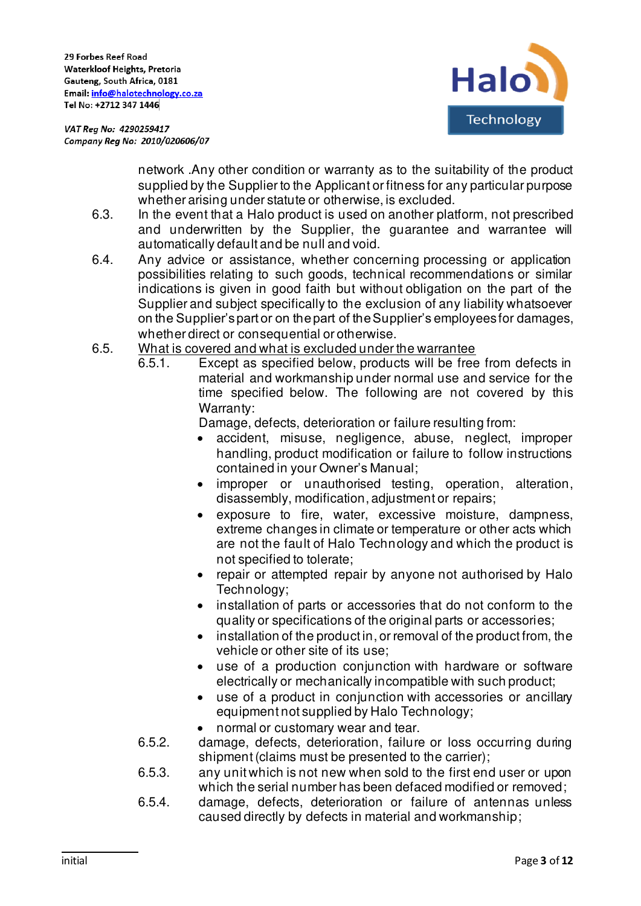

> network .Any other condition or warranty as to the suitability of the product supplied by the Supplier to the Applicant or fitness for any particular purpose whether arising under statute or otherwise, is excluded.

- 6.3. In the event that a Halo product is used on another platform, not prescribed and underwritten by the Supplier, the guarantee and warrantee will automatically default and be null and void.
- 6.4. Any advice or assistance, whether concerning processing or application possibilities relating to such goods, technical recommendations or similar indications is given in good faith but without obligation on the part of the Supplier and subject specifically to the exclusion of any liability whatsoever on the Supplier's part or on the part of the Supplier's employees for damages, whether direct or consequential or otherwise.
- 6.5. What is covered and what is excluded under the warrantee
	- 6.5.1. Except as specified below, products will be free from defects in material and workmanship under normal use and service for the time specified below. The following are not covered by this Warranty:

Damage, defects, deterioration or failure resulting from:

- accident, misuse, negligence, abuse, neglect, improper handling, product modification or failure to follow instructions contained in your Owner's Manual;
- improper or unauthorised testing, operation, alteration, disassembly, modification, adjustment or repairs;
- exposure to fire, water, excessive moisture, dampness, extreme changes in climate or temperature or other acts which are not the fault of Halo Technology and which the product is not specified to tolerate;
- repair or attempted repair by anyone not authorised by Halo Technology;
- installation of parts or accessories that do not conform to the quality or specifications of the original parts or accessories;
- installation of the product in, or removal of the product from, the vehicle or other site of its use;
- use of a production conjunction with hardware or software electrically or mechanically incompatible with such product;
- use of a product in conjunction with accessories or ancillary equipment not supplied by Halo Technology;
- normal or customary wear and tear.
- 6.5.2. damage, defects, deterioration, failure or loss occurring during shipment (claims must be presented to the carrier);
- 6.5.3. any unit which is not new when sold to the first end user or upon which the serial number has been defaced modified or removed;
- 6.5.4. damage, defects, deterioration or failure of antennas unless caused directly by defects in material and workmanship;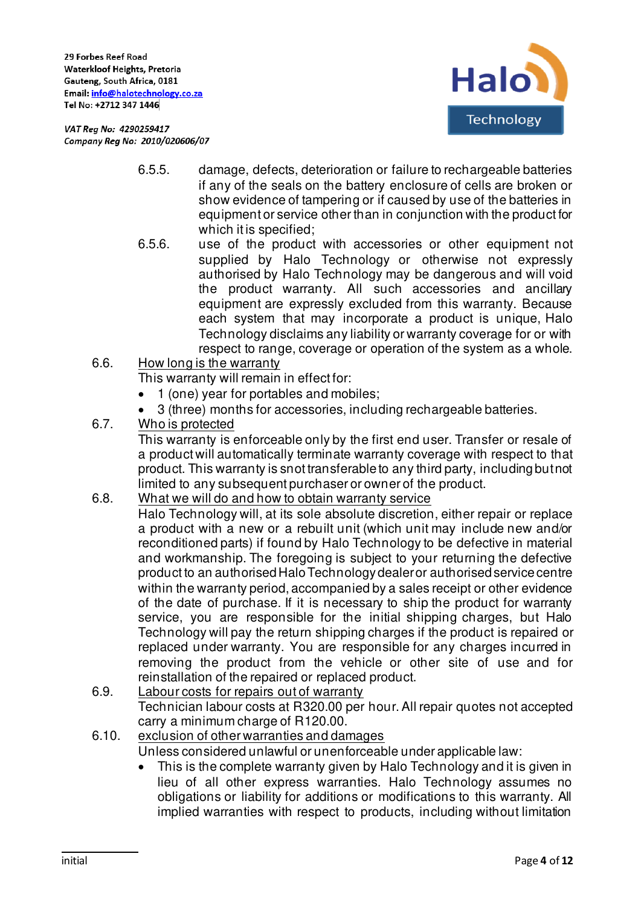

- 6.5.5. damage, defects, deterioration or failure to rechargeable batteries if any of the seals on the battery enclosure of cells are broken or show evidence of tampering or if caused by use of the batteries in equipment or service other than in conjunction with the product for which it is specified;
- 6.5.6. use of the product with accessories or other equipment not supplied by Halo Technology or otherwise not expressly authorised by Halo Technology may be dangerous and will void the product warranty. All such accessories and ancillary equipment are expressly excluded from this warranty. Because each system that may incorporate a product is unique, Halo Technology disclaims any liability or warranty coverage for or with respect to range, coverage or operation of the system as a whole.
- 6.6. How long is the warranty

This warranty will remain in effect for:

- 1 (one) year for portables and mobiles;
- 3 (three) months for accessories, including rechargeable batteries.
- 6.7. Who is protected

This warranty is enforceable only by the first end user. Transfer or resale of a product will automatically terminate warranty coverage with respect to that product. This warranty is snot transferable to any third party, including but not limited to any subsequent purchaser or owner of the product.

- 6.8. What we will do and how to obtain warranty service
	- Halo Technology will, at its sole absolute discretion, either repair or replace a product with a new or a rebuilt unit (which unit may include new and/or reconditioned parts) if found by Halo Technology to be defective in material and workmanship. The foregoing is subject to your returning the defective product to an authorised Halo Technology dealer or authorised service centre within the warranty period, accompanied by a sales receipt or other evidence of the date of purchase. If it is necessary to ship the product for warranty service, you are responsible for the initial shipping charges, but Halo Technology will pay the return shipping charges if the product is repaired or replaced under warranty. You are responsible for any charges incurred in removing the product from the vehicle or other site of use and for reinstallation of the repaired or replaced product.
- 6.9. Labour costs for repairs out of warranty Technician labour costs at R320.00 per hour. All repair quotes not accepted carry a minimum charge of R120.00.
- 6.10. exclusion of other warranties and damages

Unless considered unlawful or unenforceable under applicable law:

• This is the complete warranty given by Halo Technology and it is given in lieu of all other express warranties. Halo Technology assumes no obligations or liability for additions or modifications to this warranty. All implied warranties with respect to products, including without limitation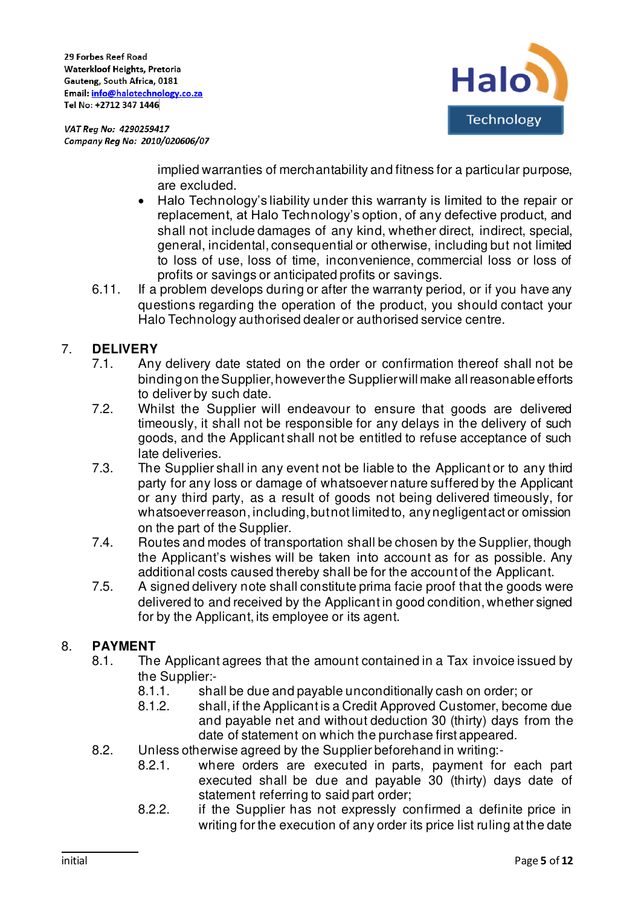29 Forbes Reef Road Waterkloof Heights, Pretoria Gauteng, South Africa, 0181 Email: info@halotechnology.co.za Tel No: +2712 347 1446

VAT Reg No: 4290259417 Company Reg No: 2010/020606/07



implied warranties of merchantability and fitness for a particular purpose, are excluded.

- Halo Technology's liability under this warranty is limited to the repair or replacement, at Halo Technology's option, of any defective product, and shall not include damages of any kind, whether direct, indirect, special, general, incidental, consequential or otherwise, including but not limited to loss of use, loss of time, inconvenience, commercial loss or loss of profits or savings or anticipated profits or savings.
- 6.11. If a problem develops during or after the warranty period, or if you have any questions regarding the operation of the product, you should contact your Halo Technology authorised dealer or authorised service centre.

# 7. **DELIVERY**

- 7.1. Any delivery date stated on the order or confirmation thereof shall not be binding on the Supplier, however the Supplier will make all reasonable efforts to deliver by such date.
- 7.2. Whilst the Supplier will endeavour to ensure that goods are delivered timeously, it shall not be responsible for any delays in the delivery of such goods, and the Applicant shall not be entitled to refuse acceptance of such late deliveries.
- 7.3. The Supplier shall in any event not be liable to the Applicant or to any third party for any loss or damage of whatsoever nature suffered by the Applicant or any third party, as a result of goods not being delivered timeously, for whatsoever reason, including, but not limited to, any negligent act or omission on the part of the Supplier.
- 7.4. Routes and modes of transportation shall be chosen by the Supplier, though the Applicant's wishes will be taken into account as for as possible. Any additional costs caused thereby shall be for the account of the Applicant.
- 7.5. A signed delivery note shall constitute prima facie proof that the goods were delivered to and received by the Applicant in good condition, whether signed for by the Applicant, its employee or its agent.

## 8. **PAYMENT**

- 8.1. The Applicant agrees that the amount contained in a Tax invoice issued by the Supplier:-
	- 8.1.1. shall be due and payable unconditionally cash on order; or
	- 8.1.2. shall, if the Applicant is a Credit Approved Customer, become due and payable net and without deduction 30 (thirty) days from the date of statement on which the purchase first appeared.
- 8.2. Unless otherwise agreed by the Supplier beforehand in writing:-
	- 8.2.1. where orders are executed in parts, payment for each part executed shall be due and payable 30 (thirty) days date of statement referring to said part order;
		- 8.2.2. if the Supplier has not expressly confirmed a definite price in writing for the execution of any order its price list ruling at the date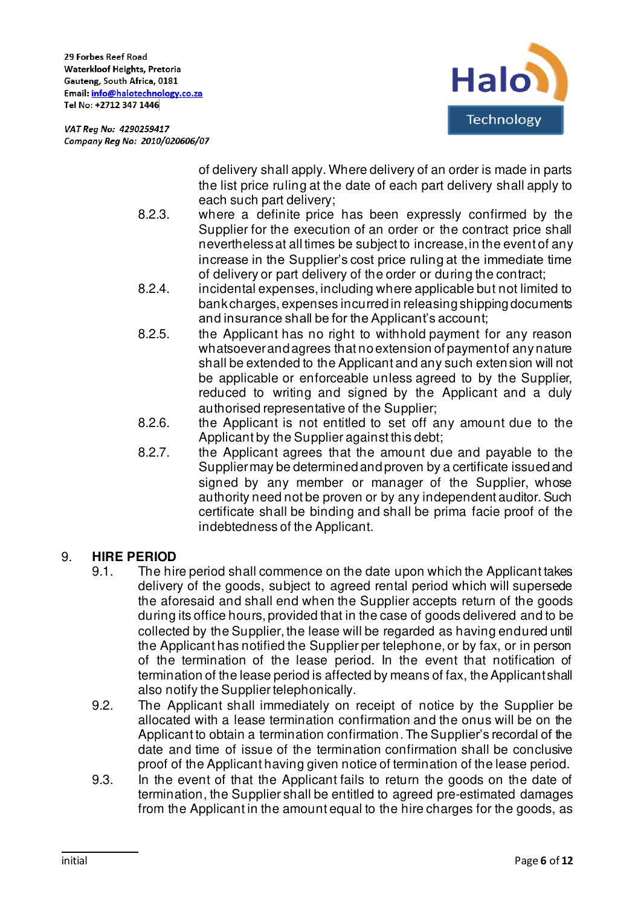

> of delivery shall apply. Where delivery of an order is made in parts the list price ruling at the date of each part delivery shall apply to each such part delivery;

- 8.2.3. where a definite price has been expressly confirmed by the Supplier for the execution of an order or the contract price shall nevertheless at all times be subject to increase, in the event of any increase in the Supplier's cost price ruling at the immediate time of delivery or part delivery of the order or during the contract;
- 8.2.4. incidental expenses, including where applicable but not limited to bank charges, expenses incurred in releasing shipping documents and insurance shall be for the Applicant's account;
- 8.2.5. the Applicant has no right to withhold payment for any reason whatsoever and agrees that no extension of payment of any nature shall be extended to the Applicant and any such extension will not be applicable or enforceable unless agreed to by the Supplier, reduced to writing and signed by the Applicant and a duly authorised representative of the Supplier;
- 8.2.6. the Applicant is not entitled to set off any amount due to the Applicant by the Supplier against this debt;
- 8.2.7. the Applicant agrees that the amount due and payable to the Supplier may be determined and proven by a certificate issued and signed by any member or manager of the Supplier, whose authority need not be proven or by any independent auditor. Such certificate shall be binding and shall be prima facie proof of the indebtedness of the Applicant.

## 9. **HIRE PERIOD**

- 9.1. The hire period shall commence on the date upon which the Applicant takes delivery of the goods, subject to agreed rental period which will supersede the aforesaid and shall end when the Supplier accepts return of the goods during its office hours, provided that in the case of goods delivered and to be collected by the Supplier, the lease will be regarded as having endured until the Applicant has notified the Supplier per telephone, or by fax, or in person of the termination of the lease period. In the event that notification of termination of the lease period is affected by means of fax, the Applicant shall also notify the Supplier telephonically.
- 9.2. The Applicant shall immediately on receipt of notice by the Supplier be allocated with a lease termination confirmation and the onus will be on the Applicant to obtain a termination confirmation. The Supplier's recordal of the date and time of issue of the termination confirmation shall be conclusive proof of the Applicant having given notice of termination of the lease period.
- 9.3. In the event of that the Applicant fails to return the goods on the date of termination, the Supplier shall be entitled to agreed pre-estimated damages from the Applicant in the amount equal to the hire charges for the goods, as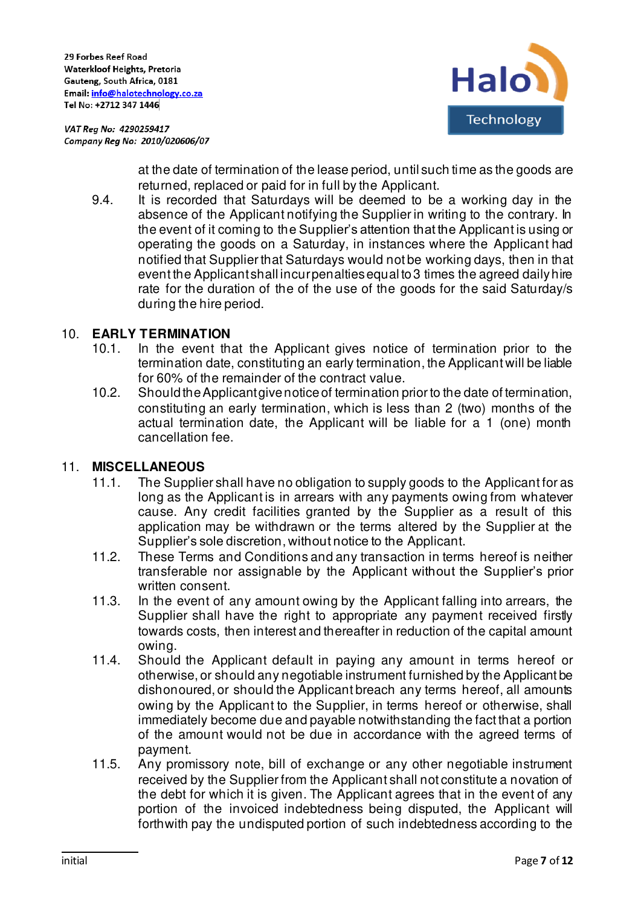



at the date of termination of the lease period, until such time as the goods are returned, replaced or paid for in full by the Applicant.

9.4. It is recorded that Saturdays will be deemed to be a working day in the absence of the Applicant notifying the Supplier in writing to the contrary. In the event of it coming to the Supplier's attention that the Applicant is using or operating the goods on a Saturday, in instances where the Applicant had notified that Supplier that Saturdays would not be working days, then in that event the Applicant shall incur penalties equal to 3 times the agreed daily hire rate for the duration of the of the use of the goods for the said Saturday/s during the hire period.

## 10. **EARLY TERMINATION**

- 10.1. In the event that the Applicant gives notice of termination prior to the termination date, constituting an early termination, the Applicant will be liable for 60% of the remainder of the contract value.
- 10.2. Should the Applicant give notice of termination prior to the date of termination, constituting an early termination, which is less than 2 (two) months of the actual termination date, the Applicant will be liable for a 1 (one) month cancellation fee.

## 11. **MISCELLANEOUS**

- 11.1. The Supplier shall have no obligation to supply goods to the Applicant for as long as the Applicant is in arrears with any payments owing from whatever cause. Any credit facilities granted by the Supplier as a result of this application may be withdrawn or the terms altered by the Supplier at the Supplier's sole discretion, without notice to the Applicant.
- 11.2. These Terms and Conditions and any transaction in terms hereof is neither transferable nor assignable by the Applicant without the Supplier's prior written consent.
- 11.3. In the event of any amount owing by the Applicant falling into arrears, the Supplier shall have the right to appropriate any payment received firstly towards costs, then interest and thereafter in reduction of the capital amount owing.
- 11.4. Should the Applicant default in paying any amount in terms hereof or otherwise, or should any negotiable instrument furnished by the Applicant be dishonoured, or should the Applicant breach any terms hereof, all amounts owing by the Applicant to the Supplier, in terms hereof or otherwise, shall immediately become due and payable notwithstanding the fact that a portion of the amount would not be due in accordance with the agreed terms of payment.
- 11.5. Any promissory note, bill of exchange or any other negotiable instrument received by the Supplier from the Applicant shall not constitute a novation of the debt for which it is given. The Applicant agrees that in the event of any portion of the invoiced indebtedness being disputed, the Applicant will forthwith pay the undisputed portion of such indebtedness according to the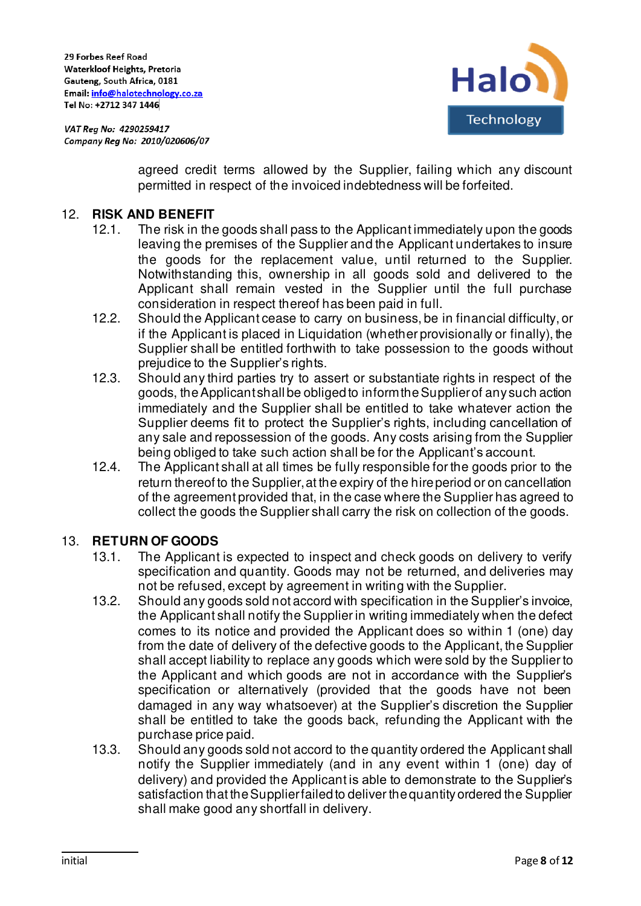

> agreed credit terms allowed by the Supplier, failing which any discount permitted in respect of the invoiced indebtedness will be forfeited.

#### 12. **RISK AND BENEFIT**

- 12.1. The risk in the goods shall pass to the Applicant immediately upon the goods leaving the premises of the Supplier and the Applicant undertakes to insure the goods for the replacement value, until returned to the Supplier. Notwithstanding this, ownership in all goods sold and delivered to the Applicant shall remain vested in the Supplier until the full purchase consideration in respect thereof has been paid in full.
- 12.2. Should the Applicant cease to carry on business, be in financial difficulty, or if the Applicant is placed in Liquidation (whether provisionally or finally), the Supplier shall be entitled forthwith to take possession to the goods without prejudice to the Supplier's rights.
- 12.3. Should any third parties try to assert or substantiate rights in respect of the goods, the Applicant shall be obliged to inform the Supplier of any such action immediately and the Supplier shall be entitled to take whatever action the Supplier deems fit to protect the Supplier's rights, including cancellation of any sale and repossession of the goods. Any costs arising from the Supplier being obliged to take such action shall be for the Applicant's account.
- 12.4. The Applicant shall at all times be fully responsible for the goods prior to the return thereof to the Supplier, at the expiry of the hire period or on cancellation of the agreement provided that, in the case where the Supplier has agreed to collect the goods the Supplier shall carry the risk on collection of the goods.

#### 13. **RETURN OF GOODS**

- 13.1. The Applicant is expected to inspect and check goods on delivery to verify specification and quantity. Goods may not be returned, and deliveries may not be refused, except by agreement in writing with the Supplier.
- 13.2. Should any goods sold not accord with specification in the Supplier's invoice, the Applicant shall notify the Supplier in writing immediately when the defect comes to its notice and provided the Applicant does so within 1 (one) day from the date of delivery of the defective goods to the Applicant, the Supplier shall accept liability to replace any goods which were sold by the Supplier to the Applicant and which goods are not in accordance with the Supplier's specification or alternatively (provided that the goods have not been damaged in any way whatsoever) at the Supplier's discretion the Supplier shall be entitled to take the goods back, refunding the Applicant with the purchase price paid.
- 13.3. Should any goods sold not accord to the quantity ordered the Applicant shall notify the Supplier immediately (and in any event within 1 (one) day of delivery) and provided the Applicant is able to demonstrate to the Supplier's satisfaction that the Supplier failed to deliver the quantity ordered the Supplier shall make good any shortfall in delivery.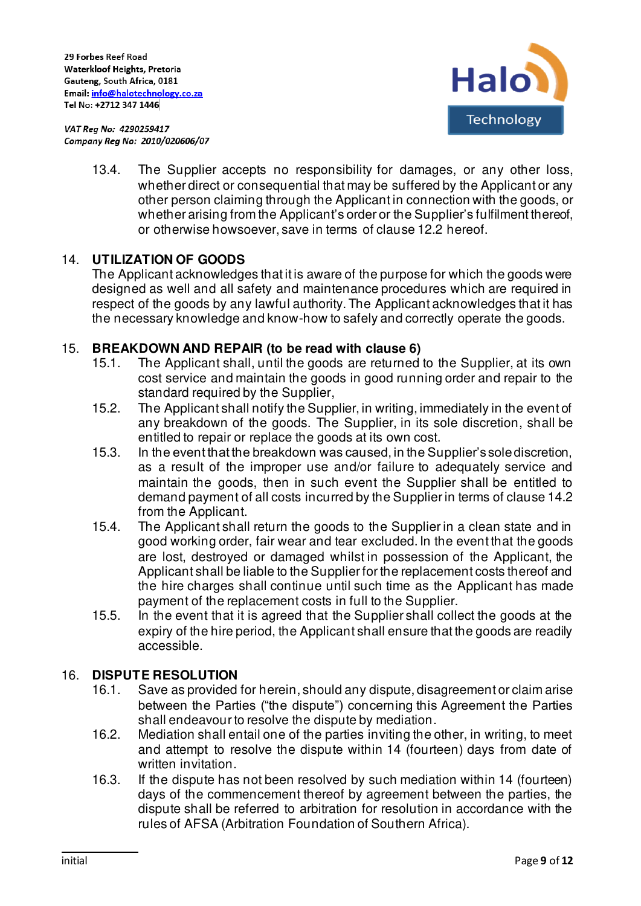

> 13.4. The Supplier accepts no responsibility for damages, or any other loss, whether direct or consequential that may be suffered by the Applicant or any other person claiming through the Applicant in connection with the goods, or whether arising from the Applicant's order or the Supplier's fulfilment thereof, or otherwise howsoever, save in terms of clause 12.2 hereof.

### 14. **UTILIZATION OF GOODS**

The Applicant acknowledges that it is aware of the purpose for which the goods were designed as well and all safety and maintenance procedures which are required in respect of the goods by any lawful authority. The Applicant acknowledges that it has the necessary knowledge and know-how to safely and correctly operate the goods.

#### 15. **BREAKDOWN AND REPAIR (to be read with clause 6)**

- 15.1. The Applicant shall, until the goods are returned to the Supplier, at its own cost service and maintain the goods in good running order and repair to the standard required by the Supplier,
- 15.2. The Applicant shall notify the Supplier, in writing, immediately in the event of any breakdown of the goods. The Supplier, in its sole discretion, shall be entitled to repair or replace the goods at its own cost.
- 15.3. In the event that the breakdown was caused, in the Supplier's sole discretion, as a result of the improper use and/or failure to adequately service and maintain the goods, then in such event the Supplier shall be entitled to demand payment of all costs incurred by the Supplier in terms of clause 14.2 from the Applicant.
- 15.4. The Applicant shall return the goods to the Supplier in a clean state and in good working order, fair wear and tear excluded. In the event that the goods are lost, destroyed or damaged whilst in possession of the Applicant, the Applicant shall be liable to the Supplier for the replacement costs thereof and the hire charges shall continue until such time as the Applicant has made payment of the replacement costs in full to the Supplier.
- 15.5. In the event that it is agreed that the Supplier shall collect the goods at the expiry of the hire period, the Applicant shall ensure that the goods are readily accessible.

#### 16. **DISPUTE RESOLUTION**

- 16.1. Save as provided for herein, should any dispute, disagreement or claim arise between the Parties ("the dispute") concerning this Agreement the Parties shall endeavour to resolve the dispute by mediation.
- 16.2. Mediation shall entail one of the parties inviting the other, in writing, to meet and attempt to resolve the dispute within 14 (fourteen) days from date of written invitation.
- 16.3. If the dispute has not been resolved by such mediation within 14 (fourteen) days of the commencement thereof by agreement between the parties, the dispute shall be referred to arbitration for resolution in accordance with the rules of AFSA (Arbitration Foundation of Southern Africa).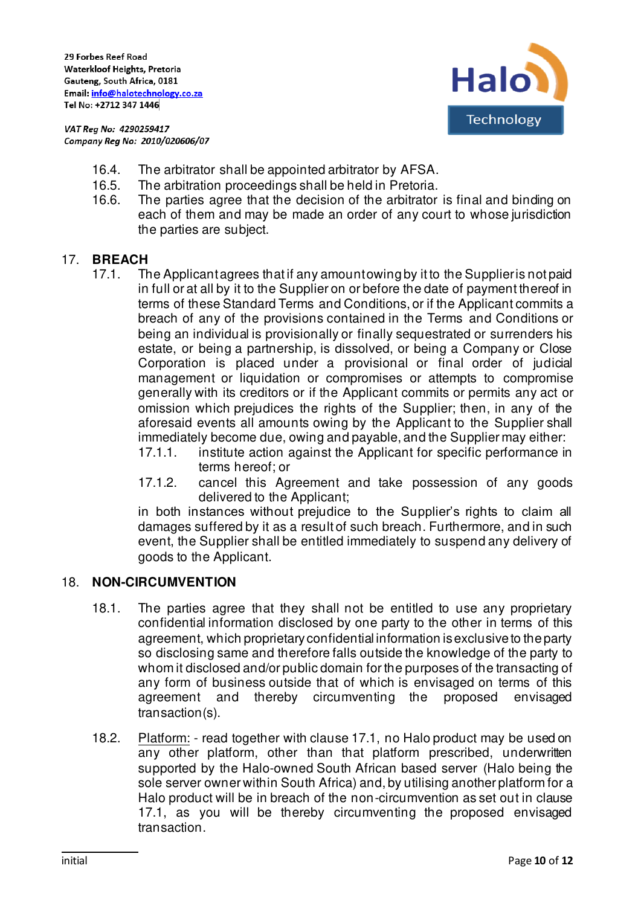



- 16.4. The arbitrator shall be appointed arbitrator by AFSA.
- 16.5. The arbitration proceedings shall be held in Pretoria.
- 16.6. The parties agree that the decision of the arbitrator is final and binding on each of them and may be made an order of any court to whose jurisdiction the parties are subject.

### 17. **BREACH**

- 17.1. The Applicant agrees that if any amountowing by it to the Supplier is not paid in full or at all by it to the Supplier on or before the date of payment thereof in terms of these Standard Terms and Conditions, or if the Applicant commits a breach of any of the provisions contained in the Terms and Conditions or being an individual is provisionally or finally sequestrated or surrenders his estate, or being a partnership, is dissolved, or being a Company or Close Corporation is placed under a provisional or final order of judicial management or liquidation or compromises or attempts to compromise generally with its creditors or if the Applicant commits or permits any act or omission which prejudices the rights of the Supplier; then, in any of the aforesaid events all amounts owing by the Applicant to the Supplier shall immediately become due, owing and payable, and the Supplier may either:
	- 17.1.1. institute action against the Applicant for specific performance in terms hereof; or
	- 17.1.2. cancel this Agreement and take possession of any goods delivered to the Applicant;

in both instances without prejudice to the Supplier's rights to claim all damages suffered by it as a result of such breach. Furthermore, and in such event, the Supplier shall be entitled immediately to suspend any delivery of goods to the Applicant.

#### 18. **NON-CIRCUMVENTION**

- 18.1. The parties agree that they shall not be entitled to use any proprietary confidential information disclosed by one party to the other in terms of this agreement, which proprietary confidential information is exclusive to the party so disclosing same and therefore falls outside the knowledge of the party to whom it disclosed and/or public domain for the purposes of the transacting of any form of business outside that of which is envisaged on terms of this agreement and thereby circumventing the proposed envisaged transaction(s).
- 18.2. Platform: read together with clause 17.1, no Halo product may be used on any other platform, other than that platform prescribed, underwritten supported by the Halo-owned South African based server (Halo being the sole server owner within South Africa) and, by utilising another platform for a Halo product will be in breach of the non-circumvention as set out in clause 17.1, as you will be thereby circumventing the proposed envisaged transaction.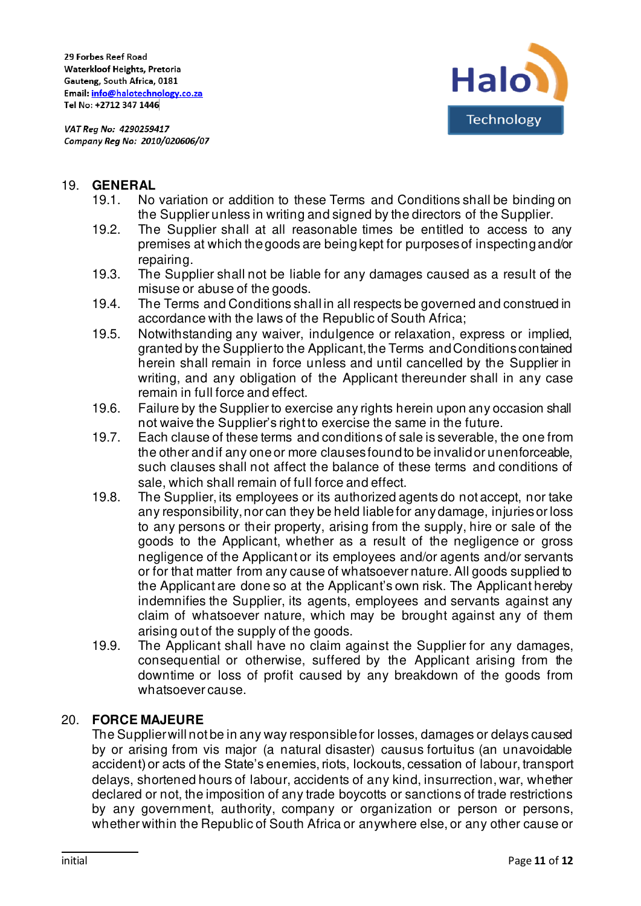

#### 19. **GENERAL**

- 19.1. No variation or addition to these Terms and Conditions shall be binding on the Supplier unless in writing and signed by the directors of the Supplier.
- 19.2. The Supplier shall at all reasonable times be entitled to access to any premises at which the goods are being kept for purposes of inspecting and/or repairing.
- 19.3. The Supplier shall not be liable for any damages caused as a result of the misuse or abuse of the goods.
- 19.4. The Terms and Conditions shall in all respects be governed and construed in accordance with the laws of the Republic of South Africa;
- 19.5. Notwithstanding any waiver, indulgence or relaxation, express or implied, granted by the Supplier to the Applicant, the Terms and Conditions contained herein shall remain in force unless and until cancelled by the Supplier in writing, and any obligation of the Applicant thereunder shall in any case remain in full force and effect.
- 19.6. Failure by the Supplier to exercise any rights herein upon any occasion shall not waive the Supplier's right to exercise the same in the future.
- 19.7. Each clause of these terms and conditions of sale is severable, the one from the other and if any one or more clauses found to be invalid or unenforceable, such clauses shall not affect the balance of these terms and conditions of sale, which shall remain of full force and effect.
- 19.8. The Supplier, its employees or its authorized agents do not accept, nor take any responsibility, nor can they be held liable for any damage, injuries or loss to any persons or their property, arising from the supply, hire or sale of the goods to the Applicant, whether as a result of the negligence or gross negligence of the Applicant or its employees and/or agents and/or servants or for that matter from any cause of whatsoever nature. All goods supplied to the Applicant are done so at the Applicant's own risk. The Applicant hereby indemnifies the Supplier, its agents, employees and servants against any claim of whatsoever nature, which may be brought against any of them arising out of the supply of the goods.
- 19.9. The Applicant shall have no claim against the Supplier for any damages, consequential or otherwise, suffered by the Applicant arising from the downtime or loss of profit caused by any breakdown of the goods from whatsoever cause.

#### 20. **FORCE MAJEURE**

The Supplier will not be in any way responsible for losses, damages or delays caused by or arising from vis major (a natural disaster) causus fortuitus (an unavoidable accident) or acts of the State's enemies, riots, lockouts, cessation of labour, transport delays, shortened hours of labour, accidents of any kind, insurrection, war, whether declared or not, the imposition of any trade boycotts or sanctions of trade restrictions by any government, authority, company or organization or person or persons, whether within the Republic of South Africa or anywhere else, or any other cause or